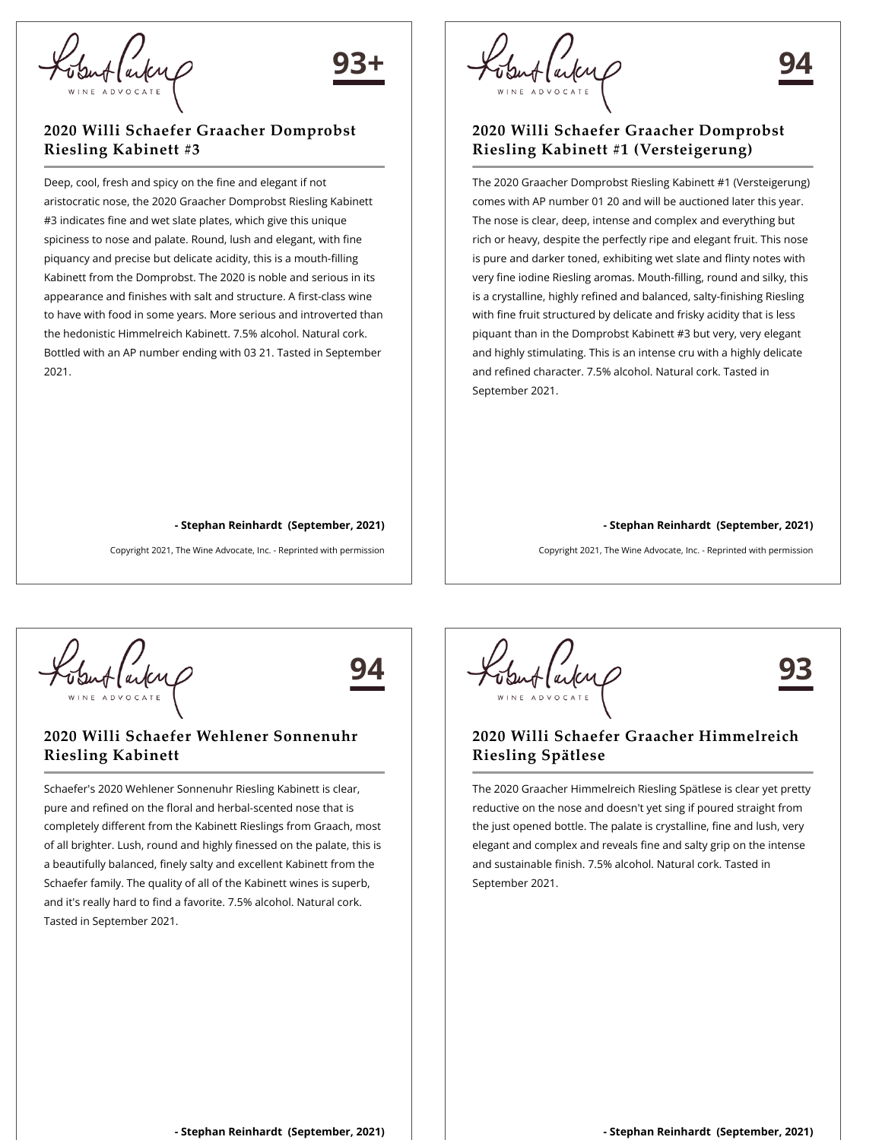### **2020 Willi Schaefer Graacher Domprobst Riesling Kabinett #3**

Deep, cool, fresh and spicy on the fine and elegant if not aristocratic nose, the 2020 Graacher Domprobst Riesling Kabinett #3 indicates fine and wet slate plates, which give this unique spiciness to nose and palate. Round, lush and elegant, with fine piquancy and precise but delicate acidity, this is a mouth-filling Kabinett from the Domprobst. The 2020 is noble and serious in its appearance and finishes with salt and structure. A first-class wine to have with food in some years. More serious and introverted than the hedonistic Himmelreich Kabinett. 7.5% alcohol. Natural cork. Bottled with an AP number ending with 03 21. Tasted in September 2021.

**- Stephan Reinhardt (September, 2021)**

Copyright 2021, The Wine Advocate, Inc. - Reprinted with permission

# **94**

#### **2020 Willi Schaefer Graacher Domprobst Riesling Kabinett #1 (Versteigerung)**

The 2020 Graacher Domprobst Riesling Kabinett #1 (Versteigerung) comes with AP number 01 20 and will be auctioned later this year. The nose is clear, deep, intense and complex and everything but rich or heavy, despite the perfectly ripe and elegant fruit. This nose is pure and darker toned, exhibiting wet slate and flinty notes with very fine iodine Riesling aromas. Mouth-filling, round and silky, this is a crystalline, highly refined and balanced, salty-finishing Riesling with fine fruit structured by delicate and frisky acidity that is less piquant than in the Domprobst Kabinett #3 but very, very elegant and highly stimulating. This is an intense cru with a highly delicate and refined character. 7.5% alcohol. Natural cork. Tasted in September 2021.

#### **- Stephan Reinhardt (September, 2021)**

Copyright 2021, The Wine Advocate, Inc. - Reprinted with permission



**94**

**93+**

## **2020 Willi Schaefer Wehlener Sonnenuhr Riesling Kabinett**

Schaefer's 2020 Wehlener Sonnenuhr Riesling Kabinett is clear, pure and refined on the floral and herbal-scented nose that is completely different from the Kabinett Rieslings from Graach, most of all brighter. Lush, round and highly finessed on the palate, this is a beautifully balanced, finely salty and excellent Kabinett from the Schaefer family. The quality of all of the Kabinett wines is superb, and it's really hard to find a favorite. 7.5% alcohol. Natural cork. Tasted in September 2021.

**93**

### **2020 Willi Schaefer Graacher Himmelreich Riesling Spätlese**

The 2020 Graacher Himmelreich Riesling Spätlese is clear yet pretty reductive on the nose and doesn't yet sing if poured straight from the just opened bottle. The palate is crystalline, fine and lush, very elegant and complex and reveals fine and salty grip on the intense and sustainable finish. 7.5% alcohol. Natural cork. Tasted in September 2021.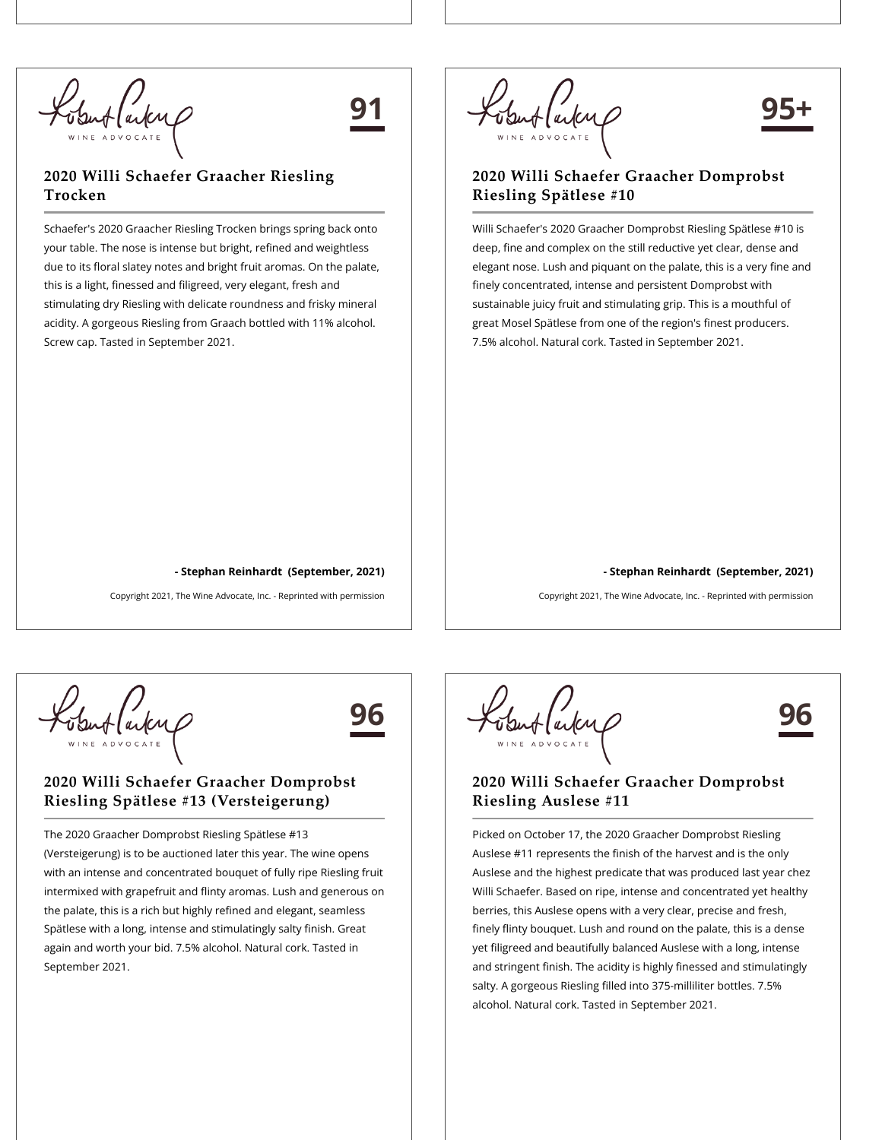obut (arkup

## **91**

## **2020 Willi Schaefer Graacher Riesling Trocken**

Schaefer's 2020 Graacher Riesling Trocken brings spring back onto your table. The nose is intense but bright, refined and weightless due to its floral slatey notes and bright fruit aromas. On the palate, this is a light, finessed and filigreed, very elegant, fresh and stimulating dry Riesling with delicate roundness and frisky mineral acidity. A gorgeous Riesling from Graach bottled with 11% alcohol. Screw cap. Tasted in September 2021.



## **95+**

### **2020 Willi Schaefer Graacher Domprobst Riesling Spätlese #10**

Willi Schaefer's 2020 Graacher Domprobst Riesling Spätlese #10 is deep, fine and complex on the still reductive yet clear, dense and elegant nose. Lush and piquant on the palate, this is a very fine and finely concentrated, intense and persistent Domprobst with sustainable juicy fruit and stimulating grip. This is a mouthful of great Mosel Spätlese from one of the region's finest producers. 7.5% alcohol. Natural cork. Tasted in September 2021.

#### **- Stephan Reinhardt (September, 2021)**

Copyright 2021, The Wine Advocate, Inc. - Reprinted with permission

Suffaiting

## **96**

**- Stephan Reinhardt (September, 2021)**

Copyright 2021, The Wine Advocate, Inc. - Reprinted with permission

#### **2020 Willi Schaefer Graacher Domprobst Riesling Spätlese #13 (Versteigerung)**

The 2020 Graacher Domprobst Riesling Spätlese #13 (Versteigerung) is to be auctioned later this year. The wine opens with an intense and concentrated bouquet of fully ripe Riesling fruit intermixed with grapefruit and flinty aromas. Lush and generous on the palate, this is a rich but highly refined and elegant, seamless Spätlese with a long, intense and stimulatingly salty finish. Great again and worth your bid. 7.5% alcohol. Natural cork. Tasted in September 2021.

**96**

### **2020 Willi Schaefer Graacher Domprobst Riesling Auslese #11**

Picked on October 17, the 2020 Graacher Domprobst Riesling Auslese #11 represents the finish of the harvest and is the only Auslese and the highest predicate that was produced last year chez Willi Schaefer. Based on ripe, intense and concentrated yet healthy berries, this Auslese opens with a very clear, precise and fresh, finely flinty bouquet. Lush and round on the palate, this is a dense yet filigreed and beautifully balanced Auslese with a long, intense and stringent finish. The acidity is highly finessed and stimulatingly salty. A gorgeous Riesling filled into 375-milliliter bottles. 7.5% alcohol. Natural cork. Tasted in September 2021.